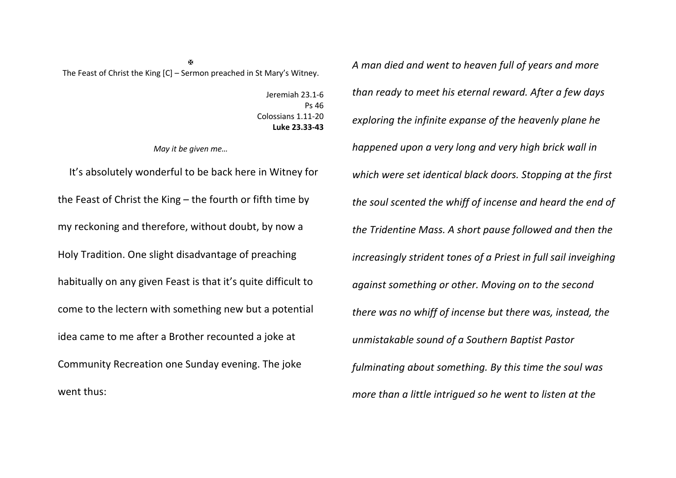$\overline{M}$ The Feast of Christ the King [C] – Sermon preached in St Mary's Witney.

> Jeremiah 23.1-6 Ps 46 Colossians 1.11-20 **Luke 23.33-43**

*May it be given me…*

It's absolutely wonderful to be back here in Witney for the Feast of Christ the King – the fourth or fifth time by my reckoning and therefore, without doubt, by now a Holy Tradition. One slight disadvantage of preaching habitually on any given Feast is that it's quite difficult to come to the lectern with something new but a potential idea came to me after a Brother recounted a joke at Community Recreation one Sunday evening. The joke went thus:

*A man died and went to heaven full of years and more than ready to meet his eternal reward. After a few days exploring the infinite expanse of the heavenly plane he happened upon a very long and very high brick wall in which were set identical black doors. Stopping at the first the soul scented the whiff of incense and heard the end of the Tridentine Mass. A short pause followed and then the increasingly strident tones of a Priest in full sail inveighing against something or other. Moving on to the second there was no whiff of incense but there was, instead, the unmistakable sound of a Southern Baptist Pastor fulminating about something. By this time the soul was more than a little intrigued so he went to listen at the*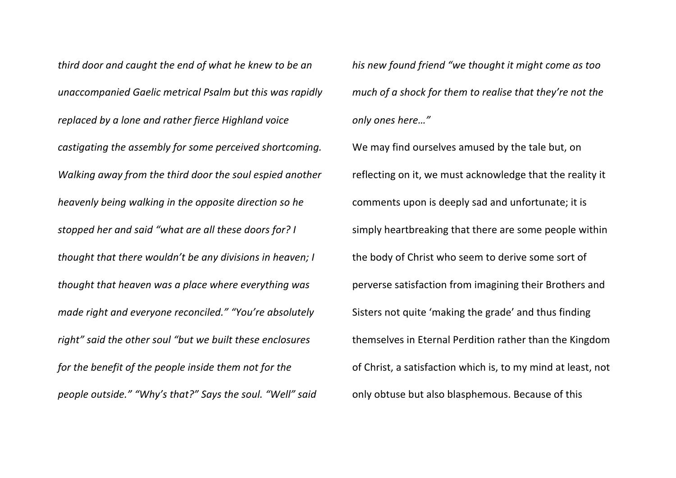*third door and caught the end of what he knew to be an unaccompanied Gaelic metrical Psalm but this was rapidly replaced by a lone and rather fierce Highland voice castigating the assembly for some perceived shortcoming. Walking away from the third door the soul espied another heavenly being walking in the opposite direction so he stopped her and said "what are all these doors for? I thought that there wouldn't be any divisions in heaven; I thought that heaven was a place where everything was made right and everyone reconciled." "You're absolutely right" said the other soul "but we built these enclosures for the benefit of the people inside them not for the people outside." "Why's that?" Says the soul. "Well" said* 

*his new found friend "we thought it might come as too much of a shock for them to realise that they're not the only ones here…"*

We may find ourselves amused by the tale but, on reflecting on it, we must acknowledge that the reality it comments upon is deeply sad and unfortunate; it is simply heartbreaking that there are some people within the body of Christ who seem to derive some sort of perverse satisfaction from imagining their Brothers and Sisters not quite 'making the grade' and thus finding themselves in Eternal Perdition rather than the Kingdom of Christ, a satisfaction which is, to my mind at least, not only obtuse but also blasphemous. Because of this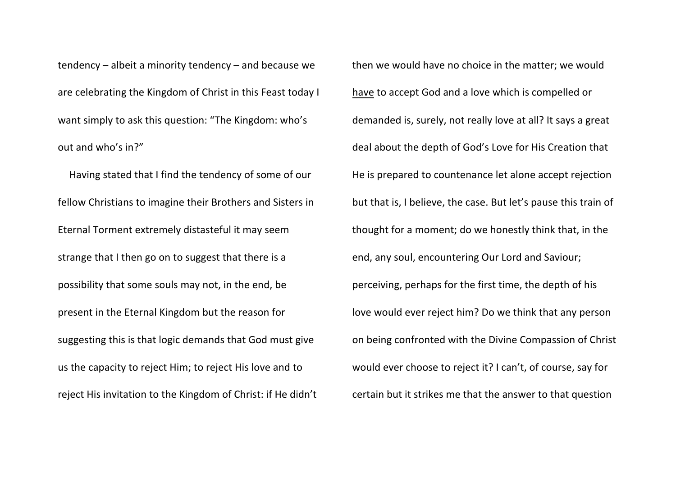tendency – albeit a minority tendency – and because we are celebrating the Kingdom of Christ in this Feast today I want simply to ask this question: "The Kingdom: who's out and who's in?"

Having stated that I find the tendency of some of our fellow Christians to imagine their Brothers and Sisters in Eternal Torment extremely distasteful it may seem strange that I then go on to suggest that there is a possibility that some souls may not, in the end, be present in the Eternal Kingdom but the reason for suggesting this is that logic demands that God must give us the capacity to reject Him; to reject His love and to reject His invitation to the Kingdom of Christ: if He didn't then we would have no choice in the matter; we would have to accept God and a love which is compelled or demanded is, surely, not really love at all? It says a great deal about the depth of God's Love for His Creation that He is prepared to countenance let alone accept rejection but that is, I believe, the case. But let's pause this train of thought for a moment; do we honestly think that, in the end, any soul, encountering Our Lord and Saviour; perceiving, perhaps for the first time, the depth of his love would ever reject him? Do we think that any person on being confronted with the Divine Compassion of Christ would ever choose to reject it? I can't, of course, say for certain but it strikes me that the answer to that question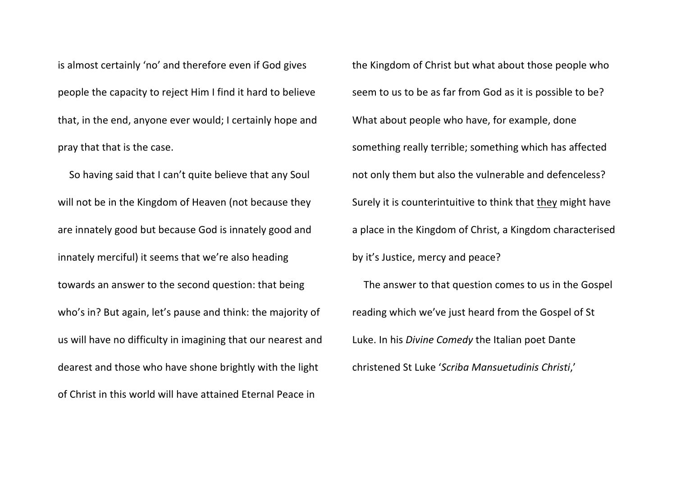is almost certainly 'no' and therefore even if God gives people the capacity to reject Him I find it hard to believe that, in the end, anyone ever would; I certainly hope and pray that that is the case.

So having said that I can't quite believe that any Soul will not be in the Kingdom of Heaven (not because they are innately good but because God is innately good and innately merciful) it seems that we're also heading towards an answer to the second question: that being who's in? But again, let's pause and think: the majority of us will have no difficulty in imagining that our nearest and dearest and those who have shone brightly with the light of Christ in this world will have attained Eternal Peace in

the Kingdom of Christ but what about those people who seem to us to be as far from God as it is possible to be? What about people who have, for example, done something really terrible; something which has affected not only them but also the vulnerable and defenceless? Surely it is counterintuitive to think that they might have a place in the Kingdom of Christ, a Kingdom characterised by it's Justice, mercy and peace?

The answer to that question comes to us in the Gospel reading which we've just heard from the Gospel of St Luke. In his *Divine Comedy* the Italian poet Dante christened St Luke '*Scriba Mansuetudinis Christi*,'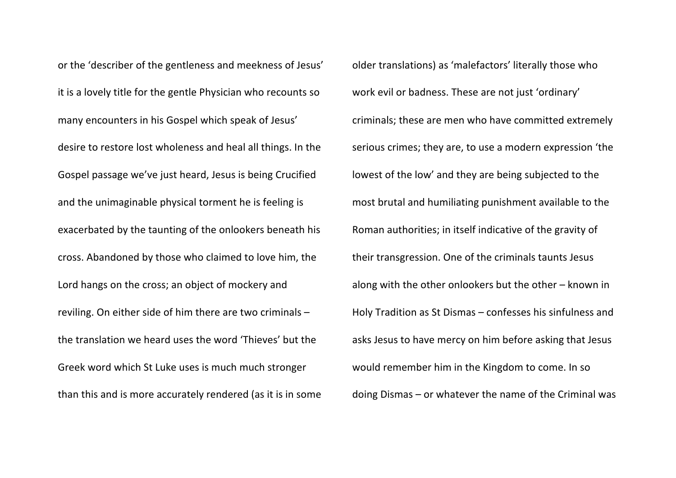or the 'describer of the gentleness and meekness of Jesus' it is a lovely title for the gentle Physician who recounts so many encounters in his Gospel which speak of Jesus' desire to restore lost wholeness and heal all things. In the Gospel passage we've just heard, Jesus is being Crucified and the unimaginable physical torment he is feeling is exacerbated by the taunting of the onlookers beneath his cross. Abandoned by those who claimed to love him, the Lord hangs on the cross; an object of mockery and reviling. On either side of him there are two criminals – the translation we heard uses the word 'Thieves' but the Greek word which St Luke uses is much much stronger than this and is more accurately rendered (as it is in some

older translations) as 'malefactors' literally those who work evil or badness. These are not just 'ordinary' criminals; these are men who have committed extremely serious crimes; they are, to use a modern expression 'the lowest of the low' and they are being subjected to the most brutal and humiliating punishment available to the Roman authorities; in itself indicative of the gravity of their transgression. One of the criminals taunts Jesus along with the other onlookers but the other – known in Holy Tradition as St Dismas – confesses his sinfulness and asks Jesus to have mercy on him before asking that Jesus would remember him in the Kingdom to come. In so doing Dismas – or whatever the name of the Criminal was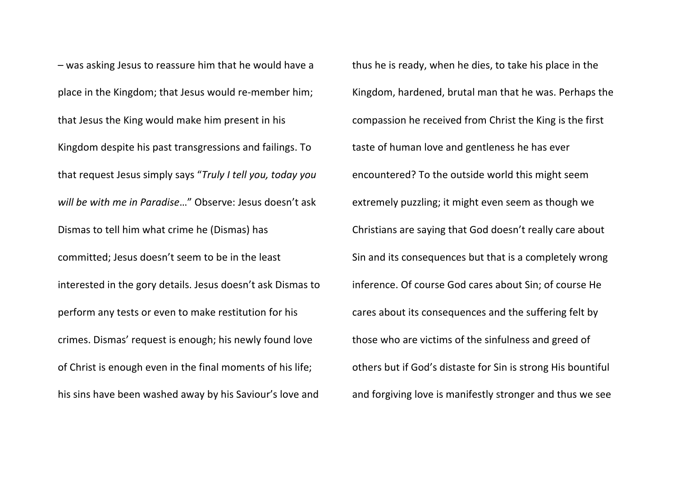– was asking Jesus to reassure him that he would have a place in the Kingdom; that Jesus would re-member him; that Jesus the King would make him present in his Kingdom despite his past transgressions and failings. To that request Jesus simply says "*Truly I tell you, today you will be with me in Paradise*…" Observe: Jesus doesn't ask Dismas to tell him what crime he (Dismas) has committed; Jesus doesn't seem to be in the least interested in the gory details. Jesus doesn't ask Dismas to perform any tests or even to make restitution for his crimes. Dismas' request is enough; his newly found love of Christ is enough even in the final moments of his life; his sins have been washed away by his Saviour's love and

thus he is ready, when he dies, to take his place in the Kingdom, hardened, brutal man that he was. Perhaps the compassion he received from Christ the King is the first taste of human love and gentleness he has ever encountered? To the outside world this might seem extremely puzzling; it might even seem as though we Christians are saying that God doesn't really care about Sin and its consequences but that is a completely wrong inference. Of course God cares about Sin; of course He cares about its consequences and the suffering felt by those who are victims of the sinfulness and greed of others but if God's distaste for Sin is strong His bountiful and forgiving love is manifestly stronger and thus we see